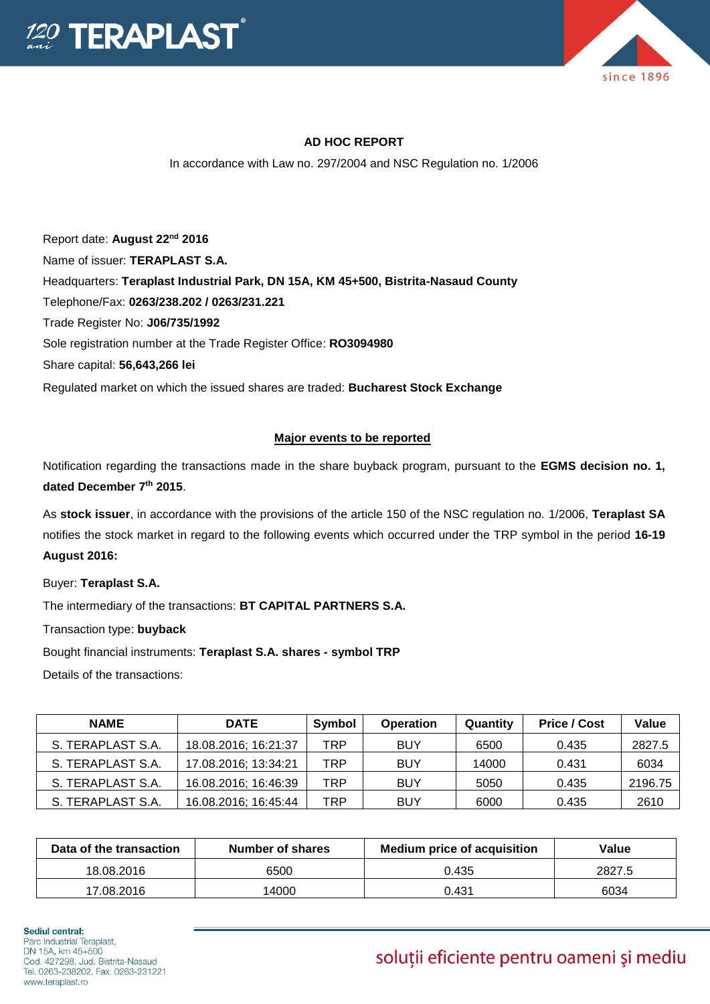



## **AD HOC REPORT**

In accordance with Law no. 297/2004 and NSC Regulation no. 1/2006

Report date: **August 22nd 2016** Name of issuer: **TERAPLAST S.A.**  Headquarters: **Teraplast Industrial Park, DN 15A, KM 45+500, Bistrita-Nasaud County** Telephone/Fax: **0263/238.202 / 0263/231.221** Trade Register No: **J06/735/1992** Sole registration number at the Trade Register Office: **RO3094980** Share capital: **56,643,266 lei**  Regulated market on which the issued shares are traded: **Bucharest Stock Exchange**

## **Major events to be reported**

Notification regarding the transactions made in the share buyback program, pursuant to the **EGMS decision no. 1, dated December 7th 2015**.

As **stock issuer**, in accordance with the provisions of the article 150 of the NSC regulation no. 1/2006, **Teraplast SA** notifies the stock market in regard to the following events which occurred under the TRP symbol in the period **16-19 August 2016:**

Buyer: **Teraplast S.A.**

The intermediary of the transactions: **BT CAPITAL PARTNERS S.A.**

Transaction type: **buyback**

Bought financial instruments: **Teraplast S.A. shares - symbol TRP**

Details of the transactions:

| <b>NAME</b>       | <b>DATE</b>          | Symbol | <b>Operation</b> | Quantity | <b>Price / Cost</b> | Value   |
|-------------------|----------------------|--------|------------------|----------|---------------------|---------|
|                   |                      |        |                  |          |                     |         |
| S. TERAPLAST S.A. | 18.08.2016; 16:21:37 | TRP    | <b>BUY</b>       | 6500     | 0.435               | 2827.5  |
| S. TERAPLAST S.A. | 17.08.2016; 13:34:21 | TRP    | <b>BUY</b>       | 14000    | 0.431               | 6034    |
| S. TERAPLAST S.A. | 16.08.2016; 16:46:39 | TRP    | <b>BUY</b>       | 5050     | 0.435               | 2196.75 |
| S. TERAPLAST S.A. | 16.08.2016; 16:45:44 | TRP    | <b>BUY</b>       | 6000     | 0.435               | 2610    |

| Data of the transaction<br>Number of shares |       | <b>Medium price of acquisition</b> | Value  |  |
|---------------------------------------------|-------|------------------------------------|--------|--|
| 18.08.2016                                  | 6500  | 0.435                              | 2827.5 |  |
| 17.08.2016                                  | 14000 | 0.431                              | 6034   |  |